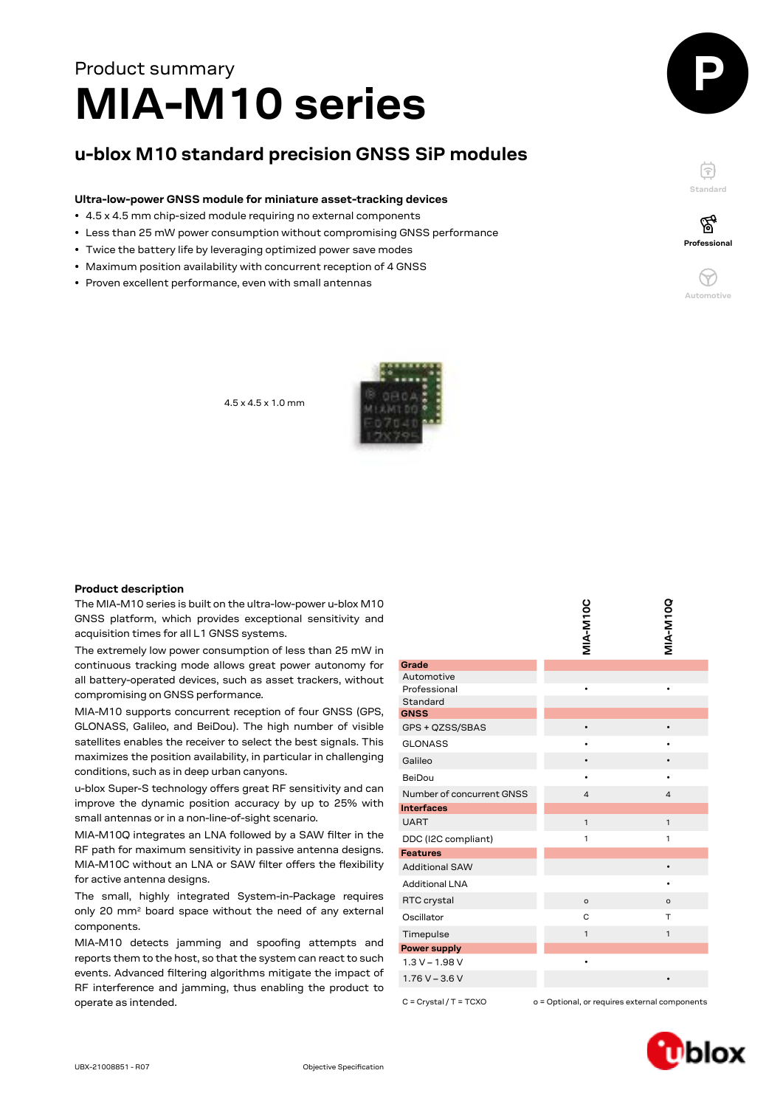# **MIA-M10 series** Product summary

# **u-blox M10 standard precision GNSS SiP modules**

## **Ultra-low-power GNSS module for miniature asset-tracking devices**

- 4.5 x 4.5 mm chip-sized module requiring no external components
- Less than 25 mW power consumption without compromising GNSS performance
- Twice the battery life by leveraging optimized power save modes
- Maximum position availability with concurrent reception of 4 GNSS
- Proven excellent performance, even with small antennas



白 **Standard** ′ିବୁ



4.5 x 4.5 x 1.0 mm



## **Product description**

| The MIA-M10 series is built on the ultra-low-power u-blox M10<br>GNSS platform, which provides exceptional sensitivity and<br>acquisition times for all L1 GNSS systems.<br>The extremely low power consumption of less than 25 mW in |                            | MIA-M10C                                      | <b>MIA-M10Q</b> |
|---------------------------------------------------------------------------------------------------------------------------------------------------------------------------------------------------------------------------------------|----------------------------|-----------------------------------------------|-----------------|
| continuous tracking mode allows great power autonomy for                                                                                                                                                                              | Grade                      |                                               |                 |
| all battery-operated devices, such as asset trackers, without                                                                                                                                                                         | Automotive<br>Professional |                                               |                 |
| compromising on GNSS performance.                                                                                                                                                                                                     | Standard                   |                                               |                 |
| MIA-M10 supports concurrent reception of four GNSS (GPS,                                                                                                                                                                              | <b>GNSS</b>                |                                               |                 |
| GLONASS, Galileo, and BeiDou). The high number of visible                                                                                                                                                                             | GPS + QZSS/SBAS            | $\bullet$                                     |                 |
| satellites enables the receiver to select the best signals. This                                                                                                                                                                      | <b>GLONASS</b>             | ٠                                             |                 |
| maximizes the position availability, in particular in challenging                                                                                                                                                                     | Galileo                    | $\bullet$                                     |                 |
| conditions, such as in deep urban canyons.                                                                                                                                                                                            | BeiDou                     |                                               |                 |
| u-blox Super-S technology offers great RF sensitivity and can                                                                                                                                                                         | Number of concurrent GNSS  | 4                                             | 4               |
| improve the dynamic position accuracy by up to 25% with                                                                                                                                                                               | <b>Interfaces</b>          |                                               |                 |
| small antennas or in a non-line-of-sight scenario.                                                                                                                                                                                    | <b>UART</b>                | $\mathbf{1}$                                  | $\mathbf{1}$    |
| MIA-M10Q integrates an LNA followed by a SAW filter in the                                                                                                                                                                            | DDC (I2C compliant)        | 1                                             | 1               |
| RF path for maximum sensitivity in passive antenna designs.                                                                                                                                                                           | <b>Features</b>            |                                               |                 |
| MIA-M10C without an LNA or SAW filter offers the flexibility                                                                                                                                                                          | <b>Additional SAW</b>      |                                               | $\bullet$       |
| for active antenna designs.                                                                                                                                                                                                           | <b>Additional LNA</b>      |                                               |                 |
| The small, highly integrated System-in-Package requires                                                                                                                                                                               | RTC crystal                | $\circ$                                       | $\circ$         |
| only 20 mm <sup>2</sup> board space without the need of any external                                                                                                                                                                  | Oscillator                 | C                                             | $\mathsf{T}$    |
| components.                                                                                                                                                                                                                           | Timepulse                  | $\mathbf{1}$                                  | 1               |
| MIA-M10 detects jamming and spoofing attempts and                                                                                                                                                                                     | <b>Power supply</b>        |                                               |                 |
| reports them to the host, so that the system can react to such                                                                                                                                                                        | $1.3 V - 1.98 V$           | $\bullet$                                     |                 |
| events. Advanced filtering algorithms mitigate the impact of<br>RF interference and jamming, thus enabling the product to                                                                                                             | $1.76V - 3.6V$             |                                               |                 |
| operate as intended.                                                                                                                                                                                                                  | $C = Crystal / T = TCXO$   | o = Optional, or requires external components |                 |